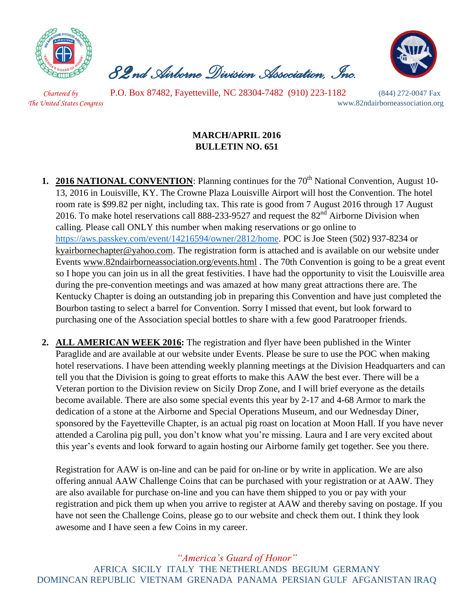

 *82nd Airborne Division Association, Inc.* 



 *Chartered by* P.O. Box 87482, Fayetteville, NC 28304-7482 (910) 223-1182 (844) 272-0047 Fax *The United States Congress* www.82ndairborneassociation.org

## **MARCH/APRIL 2016 BULLETIN NO. 651**

- **1. 2016 NATIONAL CONVENTION**: Planning continues for the 70<sup>th</sup> National Convention, August 10-13, 2016 in Louisville, KY. The Crowne Plaza Louisville Airport will host the Convention. The hotel room rate is \$99.82 per night, including tax. This rate is good from 7 August 2016 through 17 August 2016. To make hotel reservations call 888-233-9527 and request the  $82<sup>nd</sup>$  Airborne Division when calling. Please call ONLY this number when making reservations or go online to [https://aws.passkey.com/event/14216594/owner/2812/home.](https://aws.passkey.com/event/14216594/owner/2812/home) POC is Joe Steen (502) 937-8234 or [kyairbornechapter@yahoo.com.](mailto:kyairbornechapter@yahoo.com) The registration form is attached and is available on our website under Events [www.82ndairborneassociation.org/events.html](http://www.82ndairborneassociation.org/events.html) . The 70th Convention is going to be a great event so I hope you can join us in all the great festivities. I have had the opportunity to visit the Louisville area during the pre-convention meetings and was amazed at how many great attractions there are. The Kentucky Chapter is doing an outstanding job in preparing this Convention and have just completed the Bourbon tasting to select a barrel for Convention. Sorry I missed that event, but look forward to purchasing one of the Association special bottles to share with a few good Paratrooper friends.
- **2. ALL AMERICAN WEEK 2016:** The registration and flyer have been published in the Winter Paraglide and are available at our website under Events. Please be sure to use the POC when making hotel reservations. I have been attending weekly planning meetings at the Division Headquarters and can tell you that the Division is going to great efforts to make this AAW the best ever. There will be a Veteran portion to the Division review on Sicily Drop Zone, and I will brief everyone as the details become available. There are also some special events this year by 2-17 and 4-68 Armor to mark the dedication of a stone at the Airborne and Special Operations Museum, and our Wednesday Diner, sponsored by the Fayetteville Chapter, is an actual pig roast on location at Moon Hall. If you have never attended a Carolina pig pull, you don't know what you're missing. Laura and I are very excited about this year's events and look forward to again hosting our Airborne family get together. See you there.

Registration for AAW is on-line and can be paid for on-line or by write in application. We are also offering annual AAW Challenge Coins that can be purchased with your registration or at AAW. They are also available for purchase on-line and you can have them shipped to you or pay with your registration and pick them up when you arrive to register at AAW and thereby saving on postage. If you have not seen the Challenge Coins, please go to our website and check them out. I think they look awesome and I have seen a few Coins in my career.

## *"America's Guard of Honor"*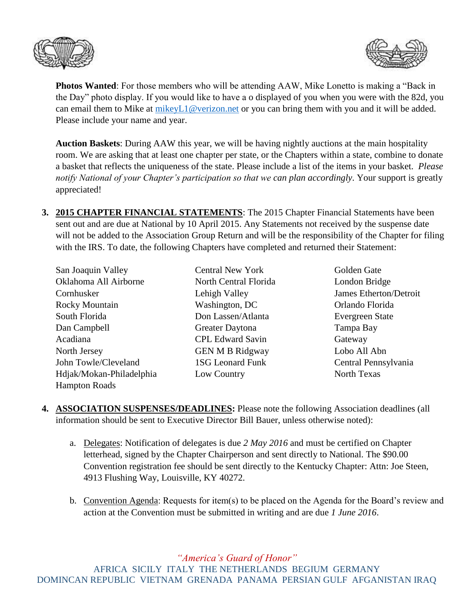



**Photos Wanted**: For those members who will be attending AAW, Mike Lonetto is making a "Back in the Day" photo display. If you would like to have a o displayed of you when you were with the 82d, you can email them to Mike at [mikeyL1@verizon.net](mailto:mikeyL1@verizon.net) or you can bring them with you and it will be added. Please include your name and year.

**Auction Baskets**: During AAW this year, we will be having nightly auctions at the main hospitality room. We are asking that at least one chapter per state, or the Chapters within a state, combine to donate a basket that reflects the uniqueness of the state. Please include a list of the items in your basket. *Please notify National of your Chapter's participation so that we can plan accordingly*. Your support is greatly appreciated!

**3. 2015 CHAPTER FINANCIAL STATEMENTS**: The 2015 Chapter Financial Statements have been sent out and are due at National by 10 April 2015. Any Statements not received by the suspense date will not be added to the Association Group Return and will be the responsibility of the Chapter for filing with the IRS. To date, the following Chapters have completed and returned their Statement:

| San Joaquin Valley       |  |  |  |
|--------------------------|--|--|--|
| Oklahoma All Airborne    |  |  |  |
| Cornhusker               |  |  |  |
| Rocky Mountain           |  |  |  |
| South Florida            |  |  |  |
| Dan Campbell             |  |  |  |
| Acadiana                 |  |  |  |
| North Jersey             |  |  |  |
| John Towle/Cleveland     |  |  |  |
| Hdjak/Mokan-Philadelphia |  |  |  |
| <b>Hampton Roads</b>     |  |  |  |
|                          |  |  |  |

- North Central Florida London Bridge Washington, DC **Orlando Florida** Don Lassen/Atlanta Evergreen State Greater Daytona Tampa Bay **CPL Edward Savin** Gateway GEN M B Ridgway Lobo All Abn Low Country North Texas
- Central New York Golden Gate Lehigh Valley James Etherton/Detroit 1SG Leonard Funk Central Pennsylvania
- **4. ASSOCIATION SUSPENSES/DEADLINES:** Please note the following Association deadlines (all information should be sent to Executive Director Bill Bauer, unless otherwise noted):
	- a. Delegates: Notification of delegates is due *2 May 2016* and must be certified on Chapter letterhead, signed by the Chapter Chairperson and sent directly to National. The \$90.00 Convention registration fee should be sent directly to the Kentucky Chapter: Attn: Joe Steen, 4913 Flushing Way, Louisville, KY 40272.
	- b. Convention Agenda: Requests for item(s) to be placed on the Agenda for the Board's review and action at the Convention must be submitted in writing and are due *1 June 2016*.

*"America's Guard of Honor"*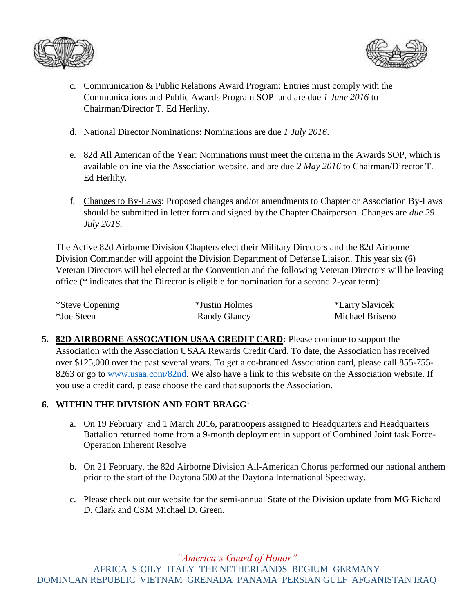



- c. Communication & Public Relations Award Program: Entries must comply with the Communications and Public Awards Program SOP and are due *1 June 2016* to Chairman/Director T. Ed Herlihy.
- d. National Director Nominations: Nominations are due *1 July 2016*.
- e. 82d All American of the Year: Nominations must meet the criteria in the Awards SOP, which is available online via the Association website, and are due *2 May 2016* to Chairman/Director T. Ed Herlihy.
- f. Changes to By-Laws: Proposed changes and/or amendments to Chapter or Association By-Laws should be submitted in letter form and signed by the Chapter Chairperson. Changes are *due 29 July 2016*.

The Active 82d Airborne Division Chapters elect their Military Directors and the 82d Airborne Division Commander will appoint the Division Department of Defense Liaison. This year six (6) Veteran Directors will bel elected at the Convention and the following Veteran Directors will be leaving office (\* indicates that the Director is eligible for nomination for a second 2-year term):

| *Steve Copening | *Justin Holmes | *Larry Slavicek |
|-----------------|----------------|-----------------|
| *Joe Steen      | Randy Glancy   | Michael Briseno |

**5. 82D AIRBORNE ASSOCATION USAA CREDIT CARD:** Please continue to support the Association with the Association USAA Rewards Credit Card. To date, the Association has received over \$125,000 over the past several years. To get a co-branded Association card, please call 855-755 8263 or go to [www.usaa.com/82nd.](http://www.usaa.com/82nd) We also have a link to this website on the Association website. If you use a credit card, please choose the card that supports the Association.

## **6. WITHIN THE DIVISION AND FORT BRAGG**:

- a. On 19 February and 1 March 2016, paratroopers assigned to Headquarters and Headquarters Battalion returned home from a 9-month deployment in support of Combined Joint task Force-Operation Inherent Resolve
- b. On 21 February, the 82d Airborne Division All-American Chorus performed our national anthem prior to the start of the Daytona 500 at the Daytona International Speedway.
- c. Please check out our website for the semi-annual State of the Division update from MG Richard D. Clark and CSM Michael D. Green.

*"America's Guard of Honor"*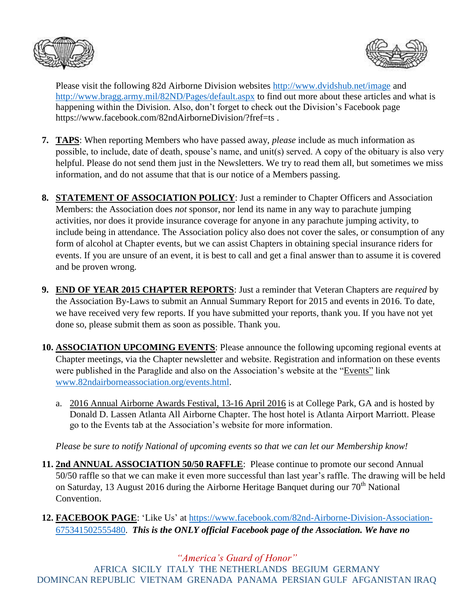



Please visit the following 82d Airborne Division websites<http://www.dvidshub.net/image> and <http://www.bragg.army.mil/82ND/Pages/default.aspx> to find out more about these articles and what is happening within the Division. Also, don't forget to check out the Division's Facebook page https://www.facebook.com/82ndAirborneDivision/?fref=ts .

- **7. TAPS**: When reporting Members who have passed away, *please* include as much information as possible, to include, date of death, spouse's name, and unit(s) served. A copy of the obituary is also very helpful. Please do not send them just in the Newsletters. We try to read them all, but sometimes we miss information, and do not assume that that is our notice of a Members passing.
- **8. STATEMENT OF ASSOCIATION POLICY**: Just a reminder to Chapter Officers and Association Members: the Association does *not* sponsor, nor lend its name in any way to parachute jumping activities, nor does it provide insurance coverage for anyone in any parachute jumping activity, to include being in attendance. The Association policy also does not cover the sales, or consumption of any form of alcohol at Chapter events, but we can assist Chapters in obtaining special insurance riders for events. If you are unsure of an event, it is best to call and get a final answer than to assume it is covered and be proven wrong.
- **9. END OF YEAR 2015 CHAPTER REPORTS**: Just a reminder that Veteran Chapters are *required* by the Association By-Laws to submit an Annual Summary Report for 2015 and events in 2016. To date, we have received very few reports. If you have submitted your reports, thank you. If you have not yet done so, please submit them as soon as possible. Thank you.
- **10. ASSOCIATION UPCOMING EVENTS**: Please announce the following upcoming regional events at Chapter meetings, via the Chapter newsletter and website. Registration and information on these events were published in the Paraglide and also on the Association's website at the "Events" link [www.82ndairborneassociation.org/events.html.](http://www.82ndairborneassociation.org/events.html)
	- a. 2016 Annual Airborne Awards Festival, 13-16 April 2016 is at College Park, GA and is hosted by Donald D. Lassen Atlanta All Airborne Chapter. The host hotel is Atlanta Airport Marriott. Please go to the Events tab at the Association's website for more information.

*Please be sure to notify National of upcoming events so that we can let our Membership know!*

- **11. 2nd ANNUAL ASSOCIATION 50/50 RAFFLE**: Please continue to promote our second Annual 50/50 raffle so that we can make it even more successful than last year's raffle. The drawing will be held on Saturday, 13 August 2016 during the Airborne Heritage Banquet during our  $70<sup>th</sup>$  National Convention.
- **12. FACEBOOK PAGE**: 'Like Us' at [https://www.facebook.com/82nd-Airborne-Division-Association-](https://www.facebook.com/82nd-Airborne-Division-Association-675341502555480)[675341502555480.](https://www.facebook.com/82nd-Airborne-Division-Association-675341502555480) *This is the ONLY official Facebook page of the Association. We have no*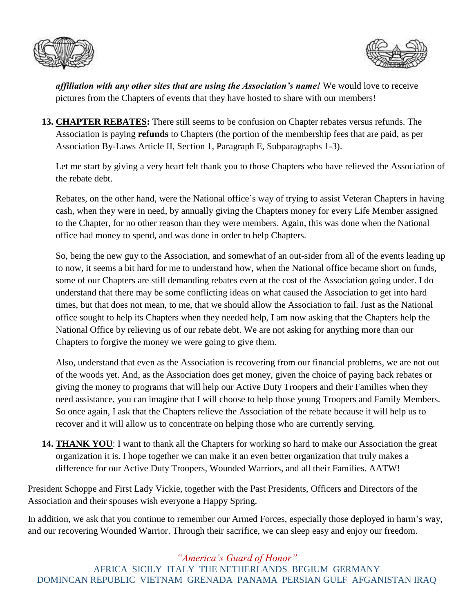



*affiliation with any other sites that are using the Association's name!* We would love to receive pictures from the Chapters of events that they have hosted to share with our members!

**13. CHAPTER REBATES:** There still seems to be confusion on Chapter rebates versus refunds. The Association is paying **refunds** to Chapters (the portion of the membership fees that are paid, as per Association By-Laws Article II, Section 1, Paragraph E, Subparagraphs 1-3).

Let me start by giving a very heart felt thank you to those Chapters who have relieved the Association of the rebate debt.

Rebates, on the other hand, were the National office's way of trying to assist Veteran Chapters in having cash, when they were in need, by annually giving the Chapters money for every Life Member assigned to the Chapter, for no other reason than they were members. Again, this was done when the National office had money to spend, and was done in order to help Chapters.

So, being the new guy to the Association, and somewhat of an out-sider from all of the events leading up to now, it seems a bit hard for me to understand how, when the National office became short on funds, some of our Chapters are still demanding rebates even at the cost of the Association going under. I do understand that there may be some conflicting ideas on what caused the Association to get into hard times, but that does not mean, to me, that we should allow the Association to fail. Just as the National office sought to help its Chapters when they needed help, I am now asking that the Chapters help the National Office by relieving us of our rebate debt. We are not asking for anything more than our Chapters to forgive the money we were going to give them.

Also, understand that even as the Association is recovering from our financial problems, we are not out of the woods yet. And, as the Association does get money, given the choice of paying back rebates or giving the money to programs that will help our Active Duty Troopers and their Families when they need assistance, you can imagine that I will choose to help those young Troopers and Family Members. So once again, I ask that the Chapters relieve the Association of the rebate because it will help us to recover and it will allow us to concentrate on helping those who are currently serving.

**14. THANK YOU**: I want to thank all the Chapters for working so hard to make our Association the great organization it is. I hope together we can make it an even better organization that truly makes a difference for our Active Duty Troopers, Wounded Warriors, and all their Families. AATW!

President Schoppe and First Lady Vickie, together with the Past Presidents, Officers and Directors of the Association and their spouses wish everyone a Happy Spring.

In addition, we ask that you continue to remember our Armed Forces, especially those deployed in harm's way, and our recovering Wounded Warrior. Through their sacrifice, we can sleep easy and enjoy our freedom.

*"America's Guard of Honor"*